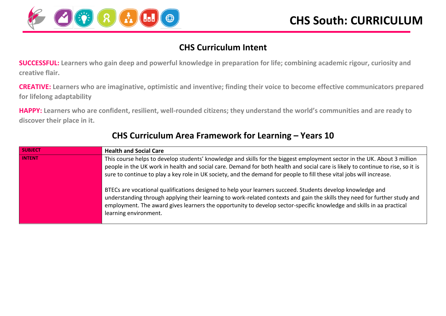

## **CHS Curriculum Intent**

**SUCCESSFUL: Learners who gain deep and powerful knowledge in preparation for life; combining academic rigour, curiosity and creative flair.**

**CREATIVE: Learners who are imaginative, optimistic and inventive; finding their voice to become effective communicators prepared for lifelong adaptability**

**HAPPY: Learners who are confident, resilient, well-rounded citizens; they understand the world's communities and are ready to discover their place in it.**

| <b>SUBJECT</b> | <b>Health and Social Care</b>                                                                                                   |
|----------------|---------------------------------------------------------------------------------------------------------------------------------|
| <b>INTENT</b>  | This course helps to develop students' knowledge and skills for the biggest employment sector in the UK. About 3 million        |
|                | people in the UK work in health and social care. Demand for both health and social care is likely to continue to rise, so it is |
|                | sure to continue to play a key role in UK society, and the demand for people to fill these vital jobs will increase.            |
|                |                                                                                                                                 |
|                | BTECs are vocational qualifications designed to help your learners succeed. Students develop knowledge and                      |
|                | understanding through applying their learning to work-related contexts and gain the skills they need for further study and      |
|                | employment. The award gives learners the opportunity to develop sector-specific knowledge and skills in aa practical            |
|                | learning environment.                                                                                                           |
|                |                                                                                                                                 |

## **CHS Curriculum Area Framework for Learning – Years 10**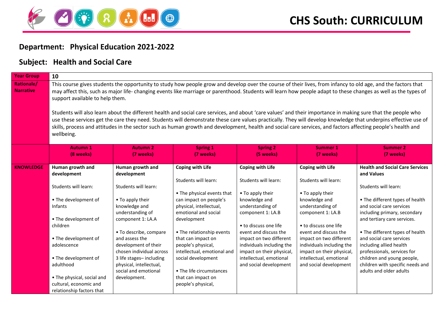

## **Department: Physical Education 2021-2022**

## **Subject: Health and Social Care**

| <b>Year Group</b>                     | 10                                                                                                                                                                                                                                                                                                                                                                                                                                                                                                                                                                                                                                                                                                                                                                                                                                                                                    |                                                                                                                                                                                                                                                                                                                                     |                                                                                                                                                                                                                                                                                                                                                                                 |                                                                                                                                                                                                                                                                                                                           |                                                                                                                                                                                                                                                                                                                           |                                                                                                                                                                                                                                                                                                                                                                                                                                  |
|---------------------------------------|---------------------------------------------------------------------------------------------------------------------------------------------------------------------------------------------------------------------------------------------------------------------------------------------------------------------------------------------------------------------------------------------------------------------------------------------------------------------------------------------------------------------------------------------------------------------------------------------------------------------------------------------------------------------------------------------------------------------------------------------------------------------------------------------------------------------------------------------------------------------------------------|-------------------------------------------------------------------------------------------------------------------------------------------------------------------------------------------------------------------------------------------------------------------------------------------------------------------------------------|---------------------------------------------------------------------------------------------------------------------------------------------------------------------------------------------------------------------------------------------------------------------------------------------------------------------------------------------------------------------------------|---------------------------------------------------------------------------------------------------------------------------------------------------------------------------------------------------------------------------------------------------------------------------------------------------------------------------|---------------------------------------------------------------------------------------------------------------------------------------------------------------------------------------------------------------------------------------------------------------------------------------------------------------------------|----------------------------------------------------------------------------------------------------------------------------------------------------------------------------------------------------------------------------------------------------------------------------------------------------------------------------------------------------------------------------------------------------------------------------------|
| <b>Rationale/</b><br><b>Narrative</b> | This course gives students the opportunity to study how people grow and develop over the course of their lives, from infancy to old age, and the factors that<br>may affect this, such as major life- changing events like marriage or parenthood. Students will learn how people adapt to these changes as well as the types of<br>support available to help them.<br>Students will also learn about the different health and social care services, and about 'care values' and their importance in making sure that the people who<br>use these services get the care they need. Students will demonstrate these care values practically. They will develop knowledge that underpins effective use of<br>skills, process and attitudes in the sector such as human growth and development, health and social care services, and factors affecting people's health and<br>wellbeing. |                                                                                                                                                                                                                                                                                                                                     |                                                                                                                                                                                                                                                                                                                                                                                 |                                                                                                                                                                                                                                                                                                                           |                                                                                                                                                                                                                                                                                                                           |                                                                                                                                                                                                                                                                                                                                                                                                                                  |
|                                       | <b>Autumn 1</b><br>(8 weeks)                                                                                                                                                                                                                                                                                                                                                                                                                                                                                                                                                                                                                                                                                                                                                                                                                                                          | <b>Autumn 2</b><br>(7 weeks)                                                                                                                                                                                                                                                                                                        | <b>Spring 1</b><br>(7 weeks)                                                                                                                                                                                                                                                                                                                                                    | <b>Spring 2</b><br>(5 weeks)                                                                                                                                                                                                                                                                                              | <b>Summer 1</b><br>(7 weeks)                                                                                                                                                                                                                                                                                              | <b>Summer 2</b><br>(7 weeks)                                                                                                                                                                                                                                                                                                                                                                                                     |
| <b>KNOWLEDGE</b>                      | Human growth and<br>development<br>Students will learn:<br>• The development of<br>Infants<br>• The development of<br>children<br>• The development of<br>adolescence<br>• The development of<br>adulthood<br>• The physical, social and<br>cultural, economic and<br>relationship factors that                                                                                                                                                                                                                                                                                                                                                                                                                                                                                                                                                                                       | Human growth and<br>development<br>Students will learn:<br>• To apply their<br>knowledge and<br>understanding of<br>component 1: LA.A<br>• To describe, compare<br>and assess the<br>development of their<br>chosen individual across<br>3 life stages-including<br>physical, intellectual,<br>social and emotional<br>development. | <b>Coping with Life</b><br>Students will learn:<br>• The physical events that<br>can impact on people's<br>physical, intellectual,<br>emotional and social<br>development<br>• The relationship events<br>that can impact on<br>people's physical,<br>intellectual, emotional and<br>social development<br>• The life circumstances<br>that can impact on<br>people's physical, | <b>Coping with Life</b><br>Students will learn:<br>• To apply their<br>knowledge and<br>understanding of<br>component 1: LA.B<br>• to discuss one life<br>event and discuss the<br>impact on two different<br>individuals including the<br>impact on their physical,<br>intellectual, emotional<br>and social development | <b>Coping with Life</b><br>Students will learn:<br>• To apply their<br>knowledge and<br>understanding of<br>component 1: LA.B<br>• to discuss one life<br>event and discuss the<br>impact on two different<br>individuals including the<br>impact on their physical,<br>intellectual, emotional<br>and social development | <b>Health and Social Care Services</b><br>and Values<br>Students will learn:<br>• The different types of health<br>and social care services<br>including primary, secondary<br>and tertiary care services.<br>• The different types of health<br>and social care services<br>including allied health<br>professionals, services for<br>children and young people,<br>children with specific needs and<br>adults and older adults |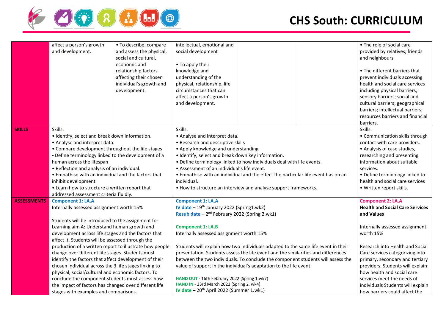

|                    | affect a person's growth<br>and development.                                                                                                                                                                                                                                                                                                                                                                                                                                                                                                                                                                                                                                           | • To describe, compare<br>and assess the physical,<br>social and cultural,<br>economic and<br>relationship factors<br>affecting their chosen<br>individual's growth and<br>development. | intellectual, emotional and<br>social development<br>• To apply their<br>knowledge and<br>understanding of the<br>physical, relationship, life<br>circumstances that can                                                                                                                                                                                                                                                                                                  |                                                                                                                                                                                                                                                         | • The role of social care<br>provided by relatives, friends<br>and neighbours.<br>• The different barriers that<br>prevent individuals accessing<br>health and social care services<br>including physical barriers;                                                                |
|--------------------|----------------------------------------------------------------------------------------------------------------------------------------------------------------------------------------------------------------------------------------------------------------------------------------------------------------------------------------------------------------------------------------------------------------------------------------------------------------------------------------------------------------------------------------------------------------------------------------------------------------------------------------------------------------------------------------|-----------------------------------------------------------------------------------------------------------------------------------------------------------------------------------------|---------------------------------------------------------------------------------------------------------------------------------------------------------------------------------------------------------------------------------------------------------------------------------------------------------------------------------------------------------------------------------------------------------------------------------------------------------------------------|---------------------------------------------------------------------------------------------------------------------------------------------------------------------------------------------------------------------------------------------------------|------------------------------------------------------------------------------------------------------------------------------------------------------------------------------------------------------------------------------------------------------------------------------------|
|                    |                                                                                                                                                                                                                                                                                                                                                                                                                                                                                                                                                                                                                                                                                        |                                                                                                                                                                                         | affect a person's growth<br>and development.                                                                                                                                                                                                                                                                                                                                                                                                                              |                                                                                                                                                                                                                                                         | sensory barriers; social and<br>cultural barriers; geographical<br>barriers; intellectual barriers;<br>resources barriers and financial<br>barriers.                                                                                                                               |
| <b>SKILLS</b>      | Skills:<br>• Identify, select and break down information.<br>• Analyse and interpret data.<br>• Compare development throughout the life stages<br>• Define terminology linked to the development of a<br>human across the lifespan<br>• Reflection and analysis of an individual.<br>• Empathise with an individual and the factors that<br>inhibit development<br>• Learn how to structure a written report that<br>addressed assessment criteria fluidly.                                                                                                                                                                                                                            |                                                                                                                                                                                         | Skills:<br>• Analyse and interpret data.<br>• Research and descriptive skills<br>• Apply knowledge and understanding<br>· Identify, select and break down key information.<br>. Define terminology linked to how individuals deal with life events.<br>• Assessment of an individual's life event.<br>• Empathise with an individual and the effect the particular life event has on an<br>individual.<br>• How to structure an interview and analyse support frameworks. |                                                                                                                                                                                                                                                         | Skills:<br>• Communication skills through<br>contact with care providers.<br>• Analysis of case studies,<br>researching and presenting<br>information about suitable<br>services.<br>• Define terminology linked to<br>health and social care services<br>· Written report skills. |
| <b>ASSESSMENTS</b> | <b>Component 1: LA.A</b><br>Internally assessed assignment worth 15%<br>Students will be introduced to the assignment for<br>Learning aim A: Understand human growth and<br>development across life stages and the factors that<br>affect it. Students will be assessed through the<br>production of a written report to illustrate how people<br>change over different life stages. Students must<br>identify the factors that affect development of their<br>chosen individual across the 3 life stages linking to<br>physical, social/cultural and economic factors. To<br>conclude the component students must assess how<br>the impact of factors has changed over different life |                                                                                                                                                                                         | <b>Component 1: LA.A</b><br>IV date - 19 <sup>th</sup> January 2022 (Spring1.wk2)<br>Resub date - 2 <sup>nd</sup> February 2022 (Spring 2.wk1)<br><b>Component 1: LA.B</b>                                                                                                                                                                                                                                                                                                |                                                                                                                                                                                                                                                         | <b>Component 2: LA.A</b><br><b>Health and Social Care Services</b><br>and Values<br>Internally assessed assignment                                                                                                                                                                 |
|                    |                                                                                                                                                                                                                                                                                                                                                                                                                                                                                                                                                                                                                                                                                        |                                                                                                                                                                                         | Internally assessed assignment worth 15%<br>Students will explain how two individuals adapted to the same life event in their<br>presentation. Students assess the life event and the similarities and differences<br>between the two individuals. To conclude the component students will assess the<br>value of support in the individual's adaptation to the life event.<br>HAND OUT - 16th February 2022 (Spring 1.wk7)<br>HAND IN - 23rd March 2022 (Spring 2. wk4)  | worth 15%<br>Research into Health and Social<br>Care services categorizing into<br>primary, secondary and tertiary<br>providers. Students will explain<br>how health and social care<br>services meet the needs of<br>individuals Students will explain |                                                                                                                                                                                                                                                                                    |
|                    | stages with examples and comparisons.                                                                                                                                                                                                                                                                                                                                                                                                                                                                                                                                                                                                                                                  |                                                                                                                                                                                         | IV date $-20^{th}$ April 2022 (Summer 1.wk1)                                                                                                                                                                                                                                                                                                                                                                                                                              |                                                                                                                                                                                                                                                         | how barriers could affect the                                                                                                                                                                                                                                                      |